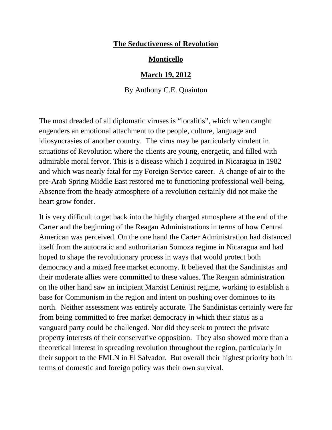## **The Seductiveness of Revolution**

## **Monticello**

## **March 19, 2012**

By Anthony C.E. Quainton

The most dreaded of all diplomatic viruses is "localitis", which when caught engenders an emotional attachment to the people, culture, language and idiosyncrasies of another country. The virus may be particularly virulent in situations of Revolution where the clients are young, energetic, and filled with admirable moral fervor. This is a disease which I acquired in Nicaragua in 1982 and which was nearly fatal for my Foreign Service career. A change of air to the pre-Arab Spring Middle East restored me to functioning professional well-being. Absence from the heady atmosphere of a revolution certainly did not make the heart grow fonder.

It is very difficult to get back into the highly charged atmosphere at the end of the Carter and the beginning of the Reagan Administrations in terms of how Central American was perceived. On the one hand the Carter Administration had distanced itself from the autocratic and authoritarian Somoza regime in Nicaragua and had hoped to shape the revolutionary process in ways that would protect both democracy and a mixed free market economy. It believed that the Sandinistas and their moderate allies were committed to these values. The Reagan administration on the other hand saw an incipient Marxist Leninist regime, working to establish a base for Communism in the region and intent on pushing over dominoes to its north. Neither assessment was entirely accurate. The Sandinistas certainly were far from being committed to free market democracy in which their status as a vanguard party could be challenged. Nor did they seek to protect the private property interests of their conservative opposition. They also showed more than a theoretical interest in spreading revolution throughout the region, particularly in their support to the FMLN in El Salvador. But overall their highest priority both in terms of domestic and foreign policy was their own survival.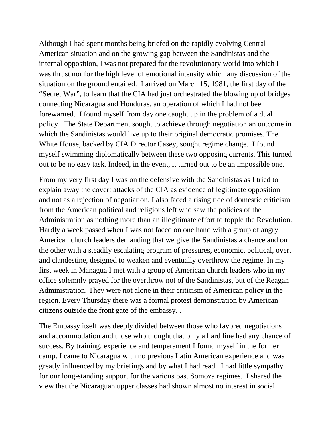Although I had spent months being briefed on the rapidly evolving Central American situation and on the growing gap between the Sandinistas and the internal opposition, I was not prepared for the revolutionary world into which I was thrust nor for the high level of emotional intensity which any discussion of the situation on the ground entailed. I arrived on March 15, 1981, the first day of the "Secret War", to learn that the CIA had just orchestrated the blowing up of bridges connecting Nicaragua and Honduras, an operation of which I had not been forewarned. I found myself from day one caught up in the problem of a dual policy. The State Department sought to achieve through negotiation an outcome in which the Sandinistas would live up to their original democratic promises. The White House, backed by CIA Director Casey, sought regime change. I found myself swimming diplomatically between these two opposing currents. This turned out to be no easy task. Indeed, in the event, it turned out to be an impossible one.

From my very first day I was on the defensive with the Sandinistas as I tried to explain away the covert attacks of the CIA as evidence of legitimate opposition and not as a rejection of negotiation. I also faced a rising tide of domestic criticism from the American political and religious left who saw the policies of the Administration as nothing more than an illegitimate effort to topple the Revolution. Hardly a week passed when I was not faced on one hand with a group of angry American church leaders demanding that we give the Sandinistas a chance and on the other with a steadily escalating program of pressures, economic, political, overt and clandestine, designed to weaken and eventually overthrow the regime. In my first week in Managua I met with a group of American church leaders who in my office solemnly prayed for the overthrow not of the Sandinistas, but of the Reagan Administration. They were not alone in their criticism of American policy in the region. Every Thursday there was a formal protest demonstration by American citizens outside the front gate of the embassy. .

The Embassy itself was deeply divided between those who favored negotiations and accommodation and those who thought that only a hard line had any chance of success. By training, experience and temperament I found myself in the former camp. I came to Nicaragua with no previous Latin American experience and was greatly influenced by my briefings and by what I had read. I had little sympathy for our long-standing support for the various past Somoza regimes. I shared the view that the Nicaraguan upper classes had shown almost no interest in social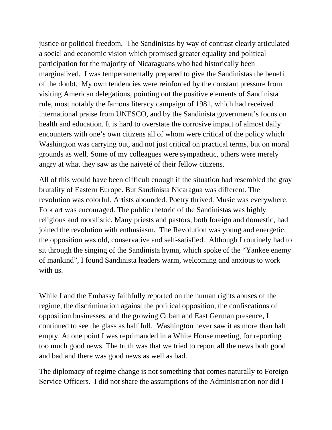justice or political freedom. The Sandinistas by way of contrast clearly articulated a social and economic vision which promised greater equality and political participation for the majority of Nicaraguans who had historically been marginalized. I was temperamentally prepared to give the Sandinistas the benefit of the doubt. My own tendencies were reinforced by the constant pressure from visiting American delegations, pointing out the positive elements of Sandinista rule, most notably the famous literacy campaign of 1981, which had received international praise from UNESCO, and by the Sandinista government's focus on health and education. It is hard to overstate the corrosive impact of almost daily encounters with one's own citizens all of whom were critical of the policy which Washington was carrying out, and not just critical on practical terms, but on moral grounds as well. Some of my colleagues were sympathetic, others were merely angry at what they saw as the naiveté of their fellow citizens.

All of this would have been difficult enough if the situation had resembled the gray brutality of Eastern Europe. But Sandinista Nicaragua was different. The revolution was colorful. Artists abounded. Poetry thrived. Music was everywhere. Folk art was encouraged. The public rhetoric of the Sandinistas was highly religious and moralistic. Many priests and pastors, both foreign and domestic, had joined the revolution with enthusiasm. The Revolution was young and energetic; the opposition was old, conservative and self-satisfied. Although I routinely had to sit through the singing of the Sandinista hymn, which spoke of the "Yankee enemy of mankind", I found Sandinista leaders warm, welcoming and anxious to work with us.

While I and the Embassy faithfully reported on the human rights abuses of the regime, the discrimination against the political opposition, the confiscations of opposition businesses, and the growing Cuban and East German presence, I continued to see the glass as half full. Washington never saw it as more than half empty. At one point I was reprimanded in a White House meeting, for reporting too much good news. The truth was that we tried to report all the news both good and bad and there was good news as well as bad.

The diplomacy of regime change is not something that comes naturally to Foreign Service Officers. I did not share the assumptions of the Administration nor did I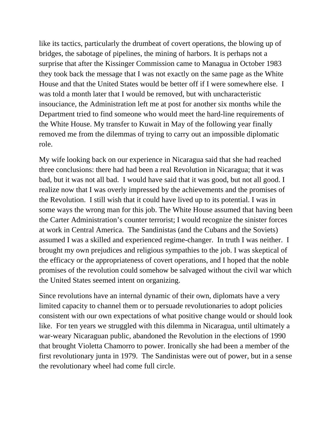like its tactics, particularly the drumbeat of covert operations, the blowing up of bridges, the sabotage of pipelines, the mining of harbors. It is perhaps not a surprise that after the Kissinger Commission came to Managua in October 1983 they took back the message that I was not exactly on the same page as the White House and that the United States would be better off if I were somewhere else. I was told a month later that I would be removed, but with uncharacteristic insouciance, the Administration left me at post for another six months while the Department tried to find someone who would meet the hard-line requirements of the White House. My transfer to Kuwait in May of the following year finally removed me from the dilemmas of trying to carry out an impossible diplomatic role.

My wife looking back on our experience in Nicaragua said that she had reached three conclusions: there had had been a real Revolution in Nicaragua; that it was bad, but it was not all bad. I would have said that it was good, but not all good. I realize now that I was overly impressed by the achievements and the promises of the Revolution. I still wish that it could have lived up to its potential. I was in some ways the wrong man for this job. The White House assumed that having been the Carter Administration's counter terrorist; I would recognize the sinister forces at work in Central America. The Sandinistas (and the Cubans and the Soviets) assumed I was a skilled and experienced regime-changer. In truth I was neither. I brought my own prejudices and religious sympathies to the job. I was skeptical of the efficacy or the appropriateness of covert operations, and I hoped that the noble promises of the revolution could somehow be salvaged without the civil war which the United States seemed intent on organizing.

Since revolutions have an internal dynamic of their own, diplomats have a very limited capacity to channel them or to persuade revolutionaries to adopt policies consistent with our own expectations of what positive change would or should look like. For ten years we struggled with this dilemma in Nicaragua, until ultimately a war-weary Nicaraguan public, abandoned the Revolution in the elections of 1990 that brought Violetta Chamorro to power. Ironically she had been a member of the first revolutionary junta in 1979. The Sandinistas were out of power, but in a sense the revolutionary wheel had come full circle.